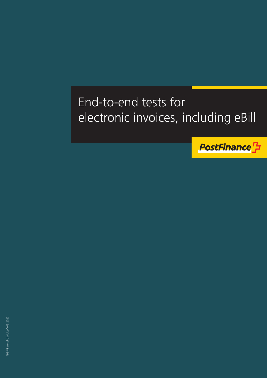# End-to-end tests for electronic invoices, including eBill

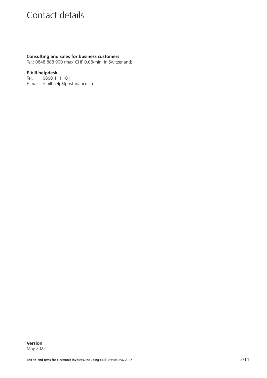# Contact details

#### **Consulting and sales for business customers**

Tel.: 0848 888 900 (max.CHF 0.08/min. in Switzerland)

#### **E-bill helpdesk**

Tel. 0800 111 101 E-mail e-bill.help@postfinance.ch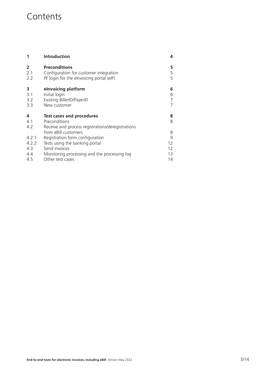## **Contents**

| 1                                   | <b>Introduction</b>                                                                                                                                                            | 4                              |
|-------------------------------------|--------------------------------------------------------------------------------------------------------------------------------------------------------------------------------|--------------------------------|
| $\overline{2}$<br>2.1<br>2.2        | <b>Preconditions</b><br>Configuration for customer integration<br>PF login for the elnvoicing portal (eIP)                                                                     | 5<br>5<br>5                    |
| 3<br>3.1<br>3.2<br>3.3              | elnvoicing platform<br>Initial login<br>Existing BillerID/PayerID<br>New customer                                                                                              | 6<br>6<br>7<br>7               |
| 4<br>4.1<br>4.2                     | <b>Test cases and procedures</b><br>Preconditions<br>Receive and process registrations/deregistrations                                                                         | 8<br>8                         |
| 4.2.1<br>4.2.2<br>4.3<br>4.4<br>4.5 | from eBill customers<br>Registration form configuration<br>Tests using the banking portal<br>Send invoices<br>Monitoring processing and the processing log<br>Other test cases | 8<br>9<br>12<br>12<br>13<br>14 |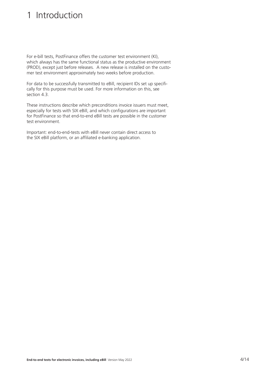# <span id="page-3-0"></span>1 Introduction

For e-bill tests, PostFinance offers the customer test environment (KI), which always has the same functional status as the productive environment (PROD), except just before releases. A new release is installed on the customer test environment approximately two weeks before production.

For data to be successfully transmitted to eBill, recipient IDs set up specifically for this purpose must be used. For more information on this, see section 4.3.

These instructions describe which preconditions invoice issuers must meet, especially for tests with SIX eBill, and which configurations are important for PostFinance so that end-to-end eBill tests are possible in the customer test environment.

Important: end-to-end-tests with eBill never contain direct access to the SIX eBill platform, or an affiliated e-banking application.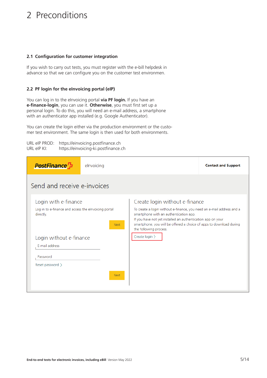# <span id="page-4-0"></span>2 Preconditions

#### **2.1 Configuration for customer integration**

If you wish to carry out tests, you must register with the e-bill helpdesk in advance so that we can configure you on the customer test environmen.

#### **2.2 PF login for the eInvoicing portal (eIP)**

You can log in to the eInvoicing portal **via PF login.** If you have an **e-finance-login**, you can use it. **Otherwise**, you must first set up a personal login. To do this, you will need an e-mail address, a smartphone with an authenticator app installed (e.g. Google Authenticator).

You can create the login either via the production environment or the customer test environment. The same login is then used for both environments.

URL eIP PROD: https://einvoicing.postfinance.ch URL eIP KI: https://einvoicing-ki.postfinance.ch

| <b>PostFinance</b>                                                                        | elnvoicing |                                                                                                                                                                                                                                                                                                                   | <b>Contact and Support</b> |
|-------------------------------------------------------------------------------------------|------------|-------------------------------------------------------------------------------------------------------------------------------------------------------------------------------------------------------------------------------------------------------------------------------------------------------------------|----------------------------|
| Send and receive e-invoices                                                               |            |                                                                                                                                                                                                                                                                                                                   |                            |
| Login with e-finance<br>Log in to e-finance and access the elnvoicing portal<br>directly. | Next       | Create login without e-finance<br>To create a login without e-finance, you need an e-mail address and a<br>smartphone with an authentication app.<br>If you have not yet installed an authentication app on your<br>smartphone, you will be offered a choice of apps to download during<br>the following process. |                            |
| Login without e-finance<br><b>F-mail address</b><br>Password<br>Reset password >          |            | Create $login$ )                                                                                                                                                                                                                                                                                                  |                            |
|                                                                                           | Next       |                                                                                                                                                                                                                                                                                                                   |                            |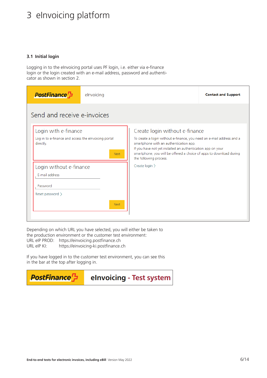# <span id="page-5-0"></span>3 eInvoicing platform

#### **3.1 Initial login**

Logging in to the eInvoicing portal uses PF login, i.e. either via e-finance login or the login created with an e-mail address, password and authenticator as shown in section 2.

| <b>PostFinance</b> <sup>7</sup>                                   | elnvoicing |                                                                                                                                                                                                                                                                                 | <b>Contact and Support</b> |
|-------------------------------------------------------------------|------------|---------------------------------------------------------------------------------------------------------------------------------------------------------------------------------------------------------------------------------------------------------------------------------|----------------------------|
| Send and receive e-invoices                                       |            |                                                                                                                                                                                                                                                                                 |                            |
| Login with e-finance                                              |            | Create login without e-finance                                                                                                                                                                                                                                                  |                            |
| Log in to e-finance and access the elnvoicing portal<br>directly. | Next       | To create a login without e-finance, you need an e-mail address and a<br>smartphone with an authentication app.<br>If you have not yet installed an authentication app on your<br>smartphone, you will be offered a choice of apps to download during<br>the following process. |                            |
| Login without e-finance                                           |            | Create $login$                                                                                                                                                                                                                                                                  |                            |
| E-mail address                                                    |            |                                                                                                                                                                                                                                                                                 |                            |
| Password                                                          |            |                                                                                                                                                                                                                                                                                 |                            |
| Reset password $\rangle$                                          |            |                                                                                                                                                                                                                                                                                 |                            |
|                                                                   | Next       |                                                                                                                                                                                                                                                                                 |                            |
|                                                                   |            |                                                                                                                                                                                                                                                                                 |                            |

Depending on which URL you have selected, you will either be taken to the production environment or the customer test environment: URL eIP PROD: https://einvoicing.postfinance.ch URL eIP KI: https://einvoicing-ki.postfinance.ch

If you have logged in to the customer test environment, you can see this in the bar at the top after logging in.

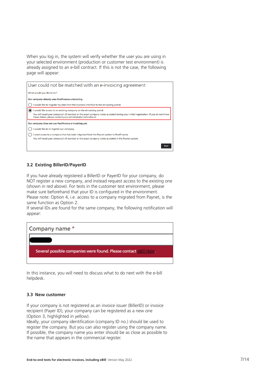<span id="page-6-0"></span>When you log in, the system will verify whether the user you are using in your selected environment (production or customer test environment) is already assigned to an e-bill contract. If this is not the case, the following page will appear:



#### **3.2 Existing BillerID/PayerID**

If you have already registered a BillerID or PayerID for your company, do NOT register a new company, and instead request access to the existing one (shown in red above). For tests in the customer test environment, please make sure beforehand that your ID is configured in the environment. Please note: Option 4, i.e. access to a company migrated from Paynet, is the same function as Option 2.

If several IDs are found for the same company, the following notification will appear:



In this instance, you will need to discuss what to do next with the e-bill helpdesk.

#### **3.3 New customer**

If your company is not registered as an invoice issuer (BillerID) or invoice recipient (Payer ID), your company can be registered as a new one (Option 3, highlighted in yellow).

Ideally, your company identification (company ID no.) should be used to register the company. But you can also register using the company name. If possible, the company name you enter should be as close as possible to the name that appears in the commercial register.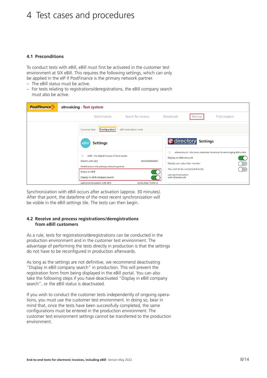### <span id="page-7-0"></span>4 Test cases and procedures

#### **4.1 Preconditions**

To conduct tests with eBill, eBill must first be activated in the customer test environment at SIX eBill. This requires the following settings, which can only be applied in the eIP if PostFinance is the primary network partner.

- The eBill status must be active.
- For tests relating to registrations/deregistrations, the eBill company search must also be active.

| <b>PostFinance</b> | elnvoicing - Test system                                                                                                                               |                         |                                            |                                                                    |                                                                            |
|--------------------|--------------------------------------------------------------------------------------------------------------------------------------------------------|-------------------------|--------------------------------------------|--------------------------------------------------------------------|----------------------------------------------------------------------------|
|                    | Send invoices                                                                                                                                          | Search for invoices     | Downloads                                  | Settings                                                           | Find recipient                                                             |
|                    | Configuration<br>Customer data                                                                                                                         | eBill subscription mask |                                            |                                                                    |                                                                            |
|                    | <b>Settings</b><br>eBill                                                                                                                               |                         |                                            | <i><b>e</b></i> directory<br><b>Settings</b>                       |                                                                            |
|                    | $\left( \mathbf{I} \right)$<br>eBill - the digital invoice of Swiss banks.<br><b>BillerID with eBill</b><br>PostFinance is the primary network partner | BIID0000006080          | Đ<br>Display at eDirectory.ch              | Display our subscriber number<br>You wish to be contacted directly | eDirectory.ch - the Swiss subscriber directory for exchanging B2B e-bills. |
|                    | Status at eBill<br>Display in eBill company search<br>Last synchronization with eBill                                                                  | 03.05.2022 15:00:12     | Last synchronization<br>with eDirectory.ch |                                                                    |                                                                            |

Synchronization with eBill occurs after activation (approx. 30 minutes). After that point, the date/time of the most recent synchronization will be visible in the eBill settings tile. The tests can then begin.

#### **4.2 Receive and process registrations/deregistrations from eBill customers**

As a rule, tests for registrations/deregistrations can be conducted in the production environment and in the customer test environment. The advantage of performing the tests directly in production is that the settings do not have to be reconfigured in production afterwards.

As long as the settings are not definitive, we recommend deactivating "Display in eBill company search" in production. This will prevent the registration form from being displayed in the eBill portal. You can also take the following steps if you have deactivated "Display in eBill company search", or the eBill status is deactivated.

If you wish to conduct the customer tests independently of ongoing operations, you must use the customer test environment. In doing so, bear in mind that, once the tests have been successfully completed, the same configurations must be entered in the production environment. The customer test environment settings cannot be transferred to the production environment.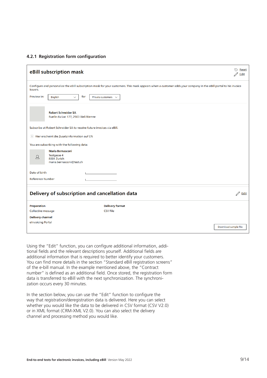#### <span id="page-8-0"></span>**4.2.1 Registration form configuration**

| eBill subscription mask                                                                              |                                                                                                                                                                  | D<br><b>Reset</b><br>Edit |
|------------------------------------------------------------------------------------------------------|------------------------------------------------------------------------------------------------------------------------------------------------------------------|---------------------------|
| issuers.                                                                                             | Configure and personalize the eBill subscription mask for your customers. This mask appears when a customer adds your company in the eBill portal to his invoice |                           |
| Preview in:<br>for<br>English<br>$\checkmark$                                                        | Private customers $\sim$                                                                                                                                         |                           |
| <b>Robert Schneider SA</b><br>Ruelle du Lac 177, 2503 Biel/Bienne                                    |                                                                                                                                                                  |                           |
| Subscribe at Robert Schneider SA to receive future invoices via eBill.                               |                                                                                                                                                                  |                           |
| (1) Hier erscheint die Zusatzinformation auf EN                                                      |                                                                                                                                                                  |                           |
| You are subscribing with the following data:                                                         |                                                                                                                                                                  |                           |
| <b>Maria Bernasconi</b><br><b>Testgasse 4</b><br>$\Delta$<br>8001 Zurich<br>maria.bernasconi@test.ch |                                                                                                                                                                  |                           |
| Date of birth                                                                                        |                                                                                                                                                                  |                           |
| <b>Reference Number</b>                                                                              |                                                                                                                                                                  |                           |
| Delivery of subscription and cancellation data                                                       |                                                                                                                                                                  | $\mathbb{Z}$ Edit         |
| Preparation                                                                                          | <b>Delivery format</b>                                                                                                                                           |                           |
| Collective message                                                                                   | <b>CSV File</b>                                                                                                                                                  |                           |
| <b>Delivery channel</b><br>elnvoicing Portal                                                         |                                                                                                                                                                  |                           |
|                                                                                                      |                                                                                                                                                                  | Download sample file      |

Using the "Edit" function, you can configure additional information, additional fields and the relevant descriptions yourself. Additional fields are additional information that is required to better identify your customers. You can find more details in the section "Standard eBill registration screens" of the e-bill manual. In the example mentioned above, the "Contract number" is defined as an additional field. Once stored, the registration form data is transferred to eBill with the next synchronization. The synchronization occurs every 30 minutes.

In the section below, you can use the "Edit" function to configure the way that registration/deregistration data is delivered. Here you can select whether you would like the data to be delivered in CSV format (CSV V2.0) or in XML format (CRM-XML V2.0). You can also select the delivery channel and processing method you would like.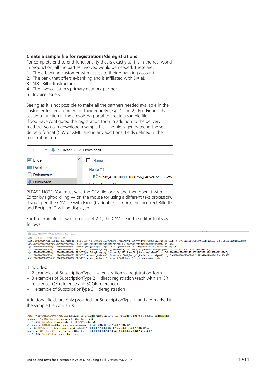#### **Create a sample file for registrations/deregistrations**

For complete end-to-end functionality that is exactly as it is in the real world in production, all the parties involved would be needed. These are:

- 1. The e-banking customer with access to their e-banking account
- 2. The bank that offers e-banking and is affiliated with SIX eBill
- 3. SIX eBill infrastructure
- 4. The invoice issuer's primary network partner
- 5. Invoice issuers

Seeing as it is not possible to make all the partners needed available in the customer test environment in their entirety (esp. 1 and 2), PostFinance has set up a function in the eInvoicing portal to create a sample file. If you have configured the registration form in addition to the delivery method, you can download a sample file. The file is generated in the set delivery format (CSV or XML) and in any additional fields defined in the registration form.



PLEASE NOTE: You must save the CSV file locally and then open it with → Editor by right-clicking  $\rightarrow$  on the mouse (or using a different text processor). If you open the CSV file with Excel (by double-clicking), the incorrect BillerID and RecipientID will be displayed.

For the example shown in section 4.2.1, the CSV file in the editor looks as follows:

| *subsc 41101000001006756 160320221318.csv - Editor                                                                                                                                                                                                                                                                                                                                                                                                                                                                                                                                                                                                                                                                                                                                                                                                                                                                                                                                                                                               |  |
|--------------------------------------------------------------------------------------------------------------------------------------------------------------------------------------------------------------------------------------------------------------------------------------------------------------------------------------------------------------------------------------------------------------------------------------------------------------------------------------------------------------------------------------------------------------------------------------------------------------------------------------------------------------------------------------------------------------------------------------------------------------------------------------------------------------------------------------------------------------------------------------------------------------------------------------------------------------------------------------------------------------------------------------------------|--|
| Datei Bearbeiten Format Ansicht Hilfe                                                                                                                                                                                                                                                                                                                                                                                                                                                                                                                                                                                                                                                                                                                                                                                                                                                                                                                                                                                                            |  |
| SUBSCRIPTIONTYPE;BILLERID;RECIPIENTID;RECIPIENTTYPE;LANGUAGE;GIVENNAME;FAMILYNAME;COMPANYNAME;ADDRESS;ZIP;CITY;COUNTRY;EMAIL;UID;CREDITACCOUNT;CREDITORREFERENCE;CONTRACTNBR <br>1;4110000000000050;4110000000000001;PRIVATE;de;Hans;Muster;;Musterstrasse 1;3000;Bern;CH;hans.muster@mail.ch;;;;X<br>l1;41100000000000050;4110000000000002;COMPANY;fr;;;Example SA;Strasse 1;3000;Bern;CH;info@example.ch;CHE123456789;;;X<br> 2;411000000000000050;4110000000000003;PRIVATE;it;Giovanni;Esempio;;Strasse 2;3001;Bern;CH;giovanni.esempio@mail.ch;;01-001234-1;123456789012345;<br> 2;411000000000000050;41100000000000004;PRIVATE;en;John;Example;;Strasse 3;3002;Bern;CH;john.example@mail.ch;;CH5130000001250090342;123456789012345678901234567901234567;<br> 2;41100000000000050;41100000000000005;PRIVATE;de;Karin;Beispiel;;Strasse 4;3003;Bern;CH;karin.beispiel@mail.ch;;CH030900000250090342;RF20200226000ALPHA1234567;<br> 3;41100000000000050;411000000000006;PRIVATE;de;Kurt;Anders;;Strasse 5;3004;Bern;CH;kurt.anders@mail.ch;;;; |  |

It includes:

- $-$  2 examples of SubscriptionType 1 = registration via registration form
- $-$  3 examples of SubscriptionType 2 = direct registration (each with an ISR reference, QR reference and SCOR reference)
- $-1$  example of SubscriptionType 3 = deregistration

Additional fields are only provided for SubscriptionType 1, and are marked in the sample file with an X.

.<br>NAME;FAMILYNAME;COMPANYNAME;ADDRESS;ZIP;CITY;COUNTRY;EMAIL;UID;CREDITACCOUNT;CREDITORREFERENCE;<mark>CONTRACTNBR</mark> vAme;FAmiLYNAme;COMPANYNAme;ADDRESS;ZIP;CITY;COONTR<br>erstrasse 1;3000;Bern;CH;hans.muster@mail.ch;;;;<mark>X</mark><br>sse 1;3000;Bern;CH;info@example.ch;CHE123456789;;;<mark>X</mark>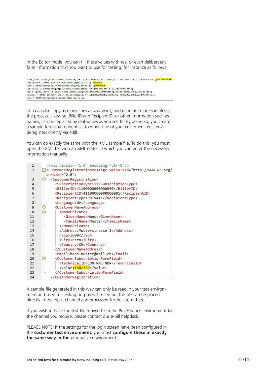In the Editor mode, you can fill these values with real or even deliberately false information that you want to use for testing, for instance as follows:

| WAME;FAMILYNAME;COMPANYNAME;ADDRESS;ZIP;CITY;COUNTRY;EMAIL;UID;CREDITACCOUNT;CREDITORREFERENCE;CONTRACTNBR |
|------------------------------------------------------------------------------------------------------------|
| terstrasse 1;3000;Bern;CH;hans.muster@mail.ch;;;;1582369                                                   |
| sse 1;3000;Bern;CH;info@example.ch;CHE123456789;;;9999999                                                  |
| ;Strasse 2;3001;Bern;CH;giovanni.esempio@mail.ch;;01-001234-1;123456789012345;                             |
| asse 3;3002;Bern;CH;john.example@mail.ch;;CH5130000001250090342;123456789012345678901234567;               |
| ;trasse 4;3003;Bern;CH;karin.beispiel@mail.ch;;CH0309000000250090342;RF20200226000ALPHA1234567             |
| asse 5;3004;Bern;CH;kurt.anders@mail.ch;;;;                                                                |
|                                                                                                            |

You can also copy as many lines as you want, and generate more samples in the process. Likewise, BillerID and RecipientID, or other information such as names, can be replaced by real values as you see fit. By doing so, you create a sample form that is identical to when one of your customers registers/ deregisters directly via eBill.

You can do exactly the same with the XML sample file. To do this, you must open the XML file with an XML editor in which you can enter the necessary information manually.

| 1               | xml version="1.0" encoding="utf-8"?                                                                                                                                                              |
|-----------------|--------------------------------------------------------------------------------------------------------------------------------------------------------------------------------------------------|
| $\mathcal{P}$   | □ <customerregistrationmessage 2.0"<="" math="" xmlns:xsd="http://www.w3.org/&lt;/td&gt;&lt;/tr&gt;&lt;tr&gt;&lt;td&gt;&lt;/td&gt;&lt;td&gt;&lt;math&gt;version="></customerregistrationmessage> |
| з               | <customerregistration></customerregistration>                                                                                                                                                    |
| 4               | <subscriptiontype>1</subscriptiontype>                                                                                                                                                           |
| 5               | <billerid>41100000000000050</billerid>                                                                                                                                                           |
| 6               | <recipientid>41100000000000001</recipientid>                                                                                                                                                     |
| $\overline{7}$  | <recipienttype>PRIVATE</recipienttype>                                                                                                                                                           |
| 8               | <language>de</language>                                                                                                                                                                          |
| 9               | <customernameaddress></customernameaddress>                                                                                                                                                      |
| 10              | <nameprivate></nameprivate>                                                                                                                                                                      |
| 11              | <givenname>Hans</givenname>                                                                                                                                                                      |
| 12              | <familyname>Muster</familyname>                                                                                                                                                                  |
| 13 <sub>1</sub> |                                                                                                                                                                                                  |
| 14              | <address>Musterstrasse 1</address>                                                                                                                                                               |
| 15              | $\langle$ Zip>3000                                                                                                                                                                               |
| 16              | <city>Bern</city>                                                                                                                                                                                |
| 17              | <country>CH</country>                                                                                                                                                                            |
| 18              |                                                                                                                                                                                                  |
| 19              | <email>hans.muster@mail.ch</email>                                                                                                                                                               |
| 20              | <customersubscriptionformfield></customersubscriptionformfield>                                                                                                                                  |
| 21              | <technicalid>CONTRACTNBR</technicalid>                                                                                                                                                           |
| 22              | <value>1582369</value>                                                                                                                                                                           |
| 23              |                                                                                                                                                                                                  |
| 24              |                                                                                                                                                                                                  |

A sample file generated in this way can only be read in your test environment and used for testing purposes. If need be, the file can be placed directly in the input channel and processed further from there.

If you wish to have the test file moved from the PostFinance environment to the channel you require, please contact our e-bill helpdesk.

PLEASE NOTE: If the settings for the login screen have been configured in the **customer test environment,** you must **configure these in exactly the same way in the** productive environment.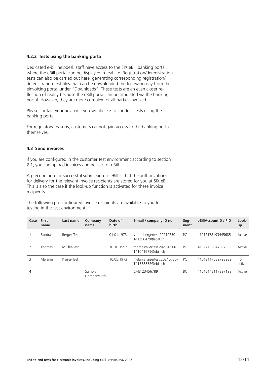#### <span id="page-11-0"></span>**4.2.2 Tests using the banking porta**

Dedicated e-bill helpdesk staff have access to the SIX eBill banking portal, where the eBill portal can be displayed in real life. Registration/deregistration tests can also be carried out here, generating corresponding registration/ deregistration test files that can be downloaded the following day from the eInvoicing portal under "Downloads". These tests are an even closer reflection of reality because the eBill portal can be simulated via the banking portal. However, they are more complex for all parties involved.

Please contact your advisor if you would like to conduct tests using the banking portal.

For regulatory reasons, customers cannot gain access to the banking portal themselves.

#### **4.3 Send invoices**

If you are configured in the customer test environment according to section 2.1, you can upload invoices and deliver for eBill.

A precondition for successful submission to eBill is that the authorizations for delivery for the relevant invoice recipients are stored for you at SIX eBill. This is also the case if the look-up function is activated for these invoice recipients.

The following pre-configured invoice recipients are available to you for testing in the test environment.

| Case | <b>First</b><br>name | Last name   | Company<br>name       | Date of<br>birth | E-mail / company ID no.                            | Seg-<br>ment | eBillAccountID / PID | Look-<br>up   |
|------|----------------------|-------------|-----------------------|------------------|----------------------------------------------------|--------------|----------------------|---------------|
|      | Sandra               | Berger-Test |                       | 01.01.1973       | sandrabergertest.20210730-<br>141256479@ebill.ch   | PC           | 41012178193445685    | Active        |
|      | <b>Thomas</b>        | Müller-Test |                       | 10.10.1997       | thomasmilertest.20210730-<br>141041679@ebill.ch    | PC.          | 41012139347097339    | Active        |
| 3    | Melanie              | Kaiser-Test |                       | 10.05.1973       | melaniekaisertest. 20210730-<br>141538852@ebill.ch | PC.          | 41012117039793939    | non<br>active |
| 4    |                      |             | Sample<br>Company Ltd |                  | CHE123456789                                       | BC           | 41012142117897198    | Active        |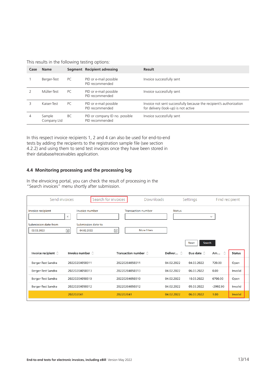<span id="page-12-0"></span>This results in the following testing options:

| Case | <b>Name</b>           |     | Segment Recipient adressing                       | <b>Result</b>                                                                                               |
|------|-----------------------|-----|---------------------------------------------------|-------------------------------------------------------------------------------------------------------------|
|      | Berger-Test           | PC  | PID or e-mail possible<br>PID recommended         | Invoice successfully sent                                                                                   |
|      | Müller-Test           | PC. | PID or e-mail possible<br>PID recommended         | Invoice successfully sent                                                                                   |
|      | Kaiser-Test           | PC. | PID or e-mail possible<br>PID recommended         | Invoice not sent successfully because the recipient's authorization<br>for delivery (look-up) is not active |
| 4    | Sample<br>Company Ltd | BC  | PID or company ID no. possible<br>PID recommended | Invoice successfully sent                                                                                   |

In this respect invoice recipients 1, 2 and 4 can also be used for end-to-end tests by adding the recipients to the registration sample file (see section 4.2.2) and using them to send test invoices once they have been stored in their database/receivables application.

#### **4.4 Monitoring processing and the processing log**

In the eInvoicing portal, you can check the result of processing in the "Search invoices" menu shortly after submission.

| Send invoices                                           | Search for invoices                                                 | Downloads                                                          |                   | Settings               | Find recipient |               |
|---------------------------------------------------------|---------------------------------------------------------------------|--------------------------------------------------------------------|-------------------|------------------------|----------------|---------------|
| Invoice recipient<br>Submission date from<br>02.02.2022 | Invoice number<br>$\times$<br>Submission date to<br>同<br>04.02.2022 | <b>Transaction number</b><br>$\frac{1}{31}$<br><b>More filters</b> | <b>Status</b>     | <b>Search</b><br>Reset | $\checkmark$   |               |
| Invoice recipient $\circlearrowright$                   | Invoice number $\circlearrowright$                                  | Transaction number $\circ$                                         | Deliver $\hat{C}$ | Due date $\Diamond$    | Am $\circ$     | <b>Status</b> |
| Berger-Test Sandra                                      | 20220204050311                                                      | 20220204050311                                                     | 04.02.2022        | 04.03.2022             | 720.00         | Open          |
| Berger-Test Sandra                                      | 20220204050313                                                      | 20220204050313                                                     | 04.02.2022        | 06.03.2022             | 0.00           | Invalid       |
| Berger-Test Sandra                                      | 20220204050310                                                      | 20220204050310                                                     | 04.02.2022        | 10.03.2022             | 6700.00        | Open          |
| Berger-Test Sandra                                      | 20220204050312                                                      | 20220204050312                                                     | 04.02.2022        | 05.03.2022             | $-2992.90$     | Invalid       |
|                                                         | 202202041                                                           | 202202041                                                          | 04.02.2022        | 06.03.2022             | 1.00           | Invalid       |